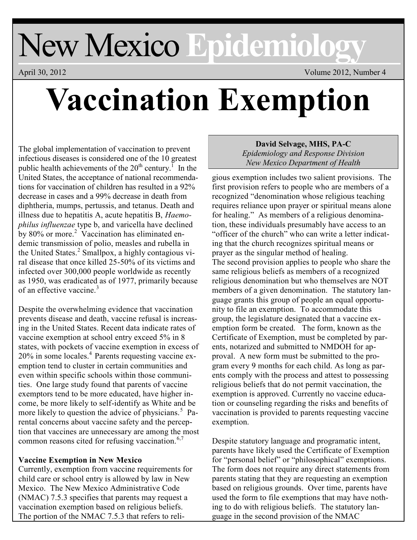## New Mexico **Epidemiology**

April 30, 2012 Volume 2012, Number 4

# **Vaccination Exemption**

The global implementation of vaccination to prevent infectious diseases is considered one of the 10 greatest public health achievements of the  $20^{th}$  century.<sup>1</sup> In the United States, the acceptance of national recommendations for vaccination of children has resulted in a 92% decrease in cases and a 99% decrease in death from diphtheria, mumps, pertussis, and tetanus. Death and illness due to hepatitis A, acute hepatitis B, *Haemophilus influenzae* type b, and varicella have declined by 80% or more.<sup>2</sup> Vaccination has eliminated endemic transmission of polio, measles and rubella in the United States.<sup>2</sup> Smallpox, a highly contagious viral disease that once killed 25-50% of its victims and infected over 300,000 people worldwide as recently as 1950, was eradicated as of 1977, primarily because of an effective vaccine.<sup>3</sup>

Despite the overwhelming evidence that vaccination prevents disease and death, vaccine refusal is increasing in the United States. Recent data indicate rates of vaccine exemption at school entry exceed 5% in 8 states, with pockets of vaccine exemption in excess of  $20\%$  in some locales.<sup>4</sup> Parents requesting vaccine exemption tend to cluster in certain communities and even within specific schools within those communities. One large study found that parents of vaccine exemptors tend to be more educated, have higher income, be more likely to self-identify as White and be more likely to question the advice of physicians.<sup>5</sup> Parental concerns about vaccine safety and the perception that vaccines are unnecessary are among the most common reasons cited for refusing vaccination. $6,7$ 

#### **Vaccine Exemption in New Mexico**

Currently, exemption from vaccine requirements for child care or school entry is allowed by law in New Mexico. The New Mexico Administrative Code (NMAC) 7.5.3 specifies that parents may request a vaccination exemption based on religious beliefs. The portion of the NMAC 7.5.3 that refers to reli-

#### **David Selvage, MHS, PA-C** *Epidemiology and Response Division New Mexico Department of Health*

gious exemption includes two salient provisions. The first provision refers to people who are members of a recognized "denomination whose religious teaching requires reliance upon prayer or spiritual means alone for healing." As members of a religious denomination, these individuals presumably have access to an "officer of the church" who can write a letter indicating that the church recognizes spiritual means or prayer as the singular method of healing. The second provision applies to people who share the same religious beliefs as members of a recognized religious denomination but who themselves are NOT members of a given denomination. The statutory language grants this group of people an equal opportunity to file an exemption. To accommodate this group, the legislature designated that a vaccine exemption form be created. The form, known as the Certificate of Exemption, must be completed by parents, notarized and submitted to NMDOH for approval. A new form must be submitted to the program every 9 months for each child. As long as parents comply with the process and attest to possessing religious beliefs that do not permit vaccination, the exemption is approved. Currently no vaccine education or counseling regarding the risks and benefits of vaccination is provided to parents requesting vaccine exemption.

Despite statutory language and programatic intent, parents have likely used the Certificate of Exemption for "personal belief" or "philosophical" exemptions. The form does not require any direct statements from parents stating that they are requesting an exemption based on religious grounds. Over time, parents have used the form to file exemptions that may have nothing to do with religious beliefs. The statutory language in the second provision of the NMAC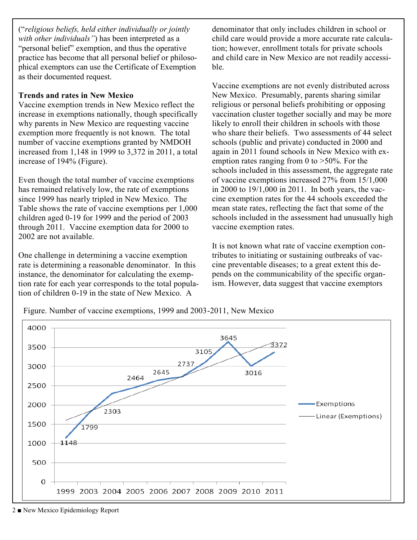("*religious beliefs, held either individually or jointly with other individuals"*) has been interpreted as a "personal belief" exemption, and thus the operative practice has become that all personal belief or philosophical exemptors can use the Certificate of Exemption as their documented request.

#### **Trends and rates in New Mexico**

Vaccine exemption trends in New Mexico reflect the increase in exemptions nationally, though specifically why parents in New Mexico are requesting vaccine exemption more frequently is not known. The total number of vaccine exemptions granted by NMDOH increased from 1,148 in 1999 to 3,372 in 2011, a total increase of 194% (Figure).

Even though the total number of vaccine exemptions has remained relatively low, the rate of exemptions since 1999 has nearly tripled in New Mexico. The Table shows the rate of vaccine exemptions per 1,000 children aged 0-19 for 1999 and the period of 2003 through 2011. Vaccine exemption data for 2000 to 2002 are not available.

One challenge in determining a vaccine exemption rate is determining a reasonable denominator. In this instance, the denominator for calculating the exemption rate for each year corresponds to the total population of children 0-19 in the state of New Mexico. A

denominator that only includes children in school or child care would provide a more accurate rate calculation; however, enrollment totals for private schools and child care in New Mexico are not readily accessible.

Vaccine exemptions are not evenly distributed across New Mexico. Presumably, parents sharing similar religious or personal beliefs prohibiting or opposing vaccination cluster together socially and may be more likely to enroll their children in schools with those who share their beliefs. Two assessments of 44 select schools (public and private) conducted in 2000 and again in 2011 found schools in New Mexico with exemption rates ranging from 0 to >50%. For the schools included in this assessment, the aggregate rate of vaccine exemptions increased 27% from 15/1,000 in 2000 to 19/1,000 in 2011. In both years, the vaccine exemption rates for the 44 schools exceeded the mean state rates, reflecting the fact that some of the schools included in the assessment had unusually high vaccine exemption rates.

It is not known what rate of vaccine exemption contributes to initiating or sustaining outbreaks of vaccine preventable diseases; to a great extent this depends on the communicability of the specific organism. However, data suggest that vaccine exemptors

Figure. Number of vaccine exemptions, 1999 and 2003-2011, New Mexico



2 ■ New Mexico Epidemiology Report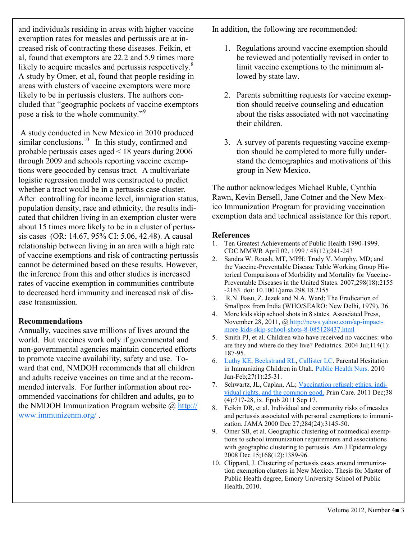and individuals residing in areas with higher vaccine exemption rates for measles and pertussis are at increased risk of contracting these diseases. Feikin, et al, found that exemptors are 22.2 and 5.9 times more likely to acquire measles and pertussis respectively. $8$ A study by Omer, et al, found that people residing in areas with clusters of vaccine exemptors were more likely to be in pertussis clusters. The authors concluded that "geographic pockets of vaccine exemptors pose a risk to the whole community."<sup>9</sup>

A study conducted in New Mexico in 2010 produced similar conclusions. $^{10}$  In this study, confirmed and probable pertussis cases aged < 18 years during 2006 through 2009 and schools reporting vaccine exemptions were geocoded by census tract. A multivariate logistic regression model was constructed to predict whether a tract would be in a pertussis case cluster. After controlling for income level, immigration status, population density, race and ethnicity, the results indicated that children living in an exemption cluster were about 15 times more likely to be in a cluster of pertussis cases (OR: 14.67, 95% CI: 5.06, 42.48). A causal relationship between living in an area with a high rate of vaccine exemptions and risk of contracting pertussis cannot be determined based on these results. However, the inference from this and other studies is increased rates of vaccine exemption in communities contribute to decreased herd immunity and increased risk of disease transmission.

#### **Recommendations**

Annually, vaccines save millions of lives around the world. But vaccines work only if governmental and non-governmental agencies maintain concerted efforts to promote vaccine availability, safety and use. Toward that end, NMDOH recommends that all children and adults receive vaccines on time and at the recommended intervals. For further information about recommended vaccinations for children and adults, go to the NMDOH Immunization Program website  $\omega$  [http://](http://www.immunizenm.org/) [www.immunizenm.org/](http://www.immunizenm.org/) .

In addition, the following are recommended:

- 1. Regulations around vaccine exemption should be reviewed and potentially revised in order to limit vaccine exemptions to the minimum allowed by state law.
- 2. Parents submitting requests for vaccine exemption should receive counseling and education about the risks associated with not vaccinating their children.
- 3. A survey of parents requesting vaccine exemption should be completed to more fully understand the demographics and motivations of this group in New Mexico.

The author acknowledges Michael Ruble, Cynthia Rawn, Kevin Bersell, Jane Cotner and the New Mexico Immunization Program for providing vaccination exemption data and technical assistance for this report.

#### **References**

- 1. Ten Greatest Achievements of Public Health 1990-1999. CDC MMWR April 02, 1999 / 48(12);241-243
- 2. [Sandra W. Roush,](http://jama.ama-assn.org/search?author1=Sandra+W.+Roush&sortspec=date&submit=Submit) MT, MPH; [Trudy V. Murphy,](http://jama.ama-assn.org/search?author1=Trudy+V.+Murphy&sortspec=date&submit=Submit) MD; and the Vaccine-Preventable Disease Table Working Group Historical Comparisons of Morbidity and Mortality for Vaccine-Preventable Diseases in the United States. 2007;298(18):2155 -2163. doi: 10.1001/jama.298.18.2155
- 3. R.N. Basu, Z. Jezek and N.A. Ward; The Eradication of Smallpox from India (WHO/SEARO: New Delhi, 1979), 36.
- 4. More kids skip school shots in 8 states. Associated Press, November 28, 2011, @ [http://news.yahoo.com/ap-impact](http://news.yahoo.com/ap-impact-more-kids-skip-school-shots-8-085128437.html)[more-kids-skip-school-shots-8-085128437.html](http://news.yahoo.com/ap-impact-more-kids-skip-school-shots-8-085128437.html)
- 5. Smith PJ, et al. Children who have received no vaccines: who are they and where do they live? Pediatrics. 2004 Jul;114(1): 187-95.
- 6. [Luthy KE,](http://www.ncbi.nlm.nih.gov/pubmed?term=%22Luthy%20KE%22%5BAuthor%5D) [Beckstrand RL,](http://www.ncbi.nlm.nih.gov/pubmed?term=%22Beckstrand%20RL%22%5BAuthor%5D) [Callister LC.](http://www.ncbi.nlm.nih.gov/pubmed?term=%22Callister%20LC%22%5BAuthor%5D) Parental Hesitation in Immunizing Children in Utah. [Public Health Nurs.](http://www.ncbi.nlm.nih.gov/pubmed/20055965) 2010 Jan-Feb;27(1):25-31.
- 7. Schwartz, JL, Caplan, AL; [Vaccination refusal: ethics, indi](http://www.ncbi.nlm.nih.gov/pubmed/22094142)[vidual rights, and the common good.](http://www.ncbi.nlm.nih.gov/pubmed/22094142) Prim Care. 2011 Dec;38 (4):717-28, ix. Epub 2011 Sep 17.
- 8. Feikin DR, et al. Individual and community risks of measles and pertussis associated with personal exemptions to immunization. JAMA 2000 Dec 27;284(24):3145-50.
- 9. Omer SB, et al. Geographic clustering of nonmedical exemptions to school immunization requirements and associations with geographic clustering to pertussis. Am J Epidemiology 2008 Dec 15;168(12):1389-96.
- 10. Clippard, J. Clustering of pertussis cases around immunization exemption clusters in New Mexico. Thesis for Master of Public Health degree, Emory University School of Public Health, 2010.